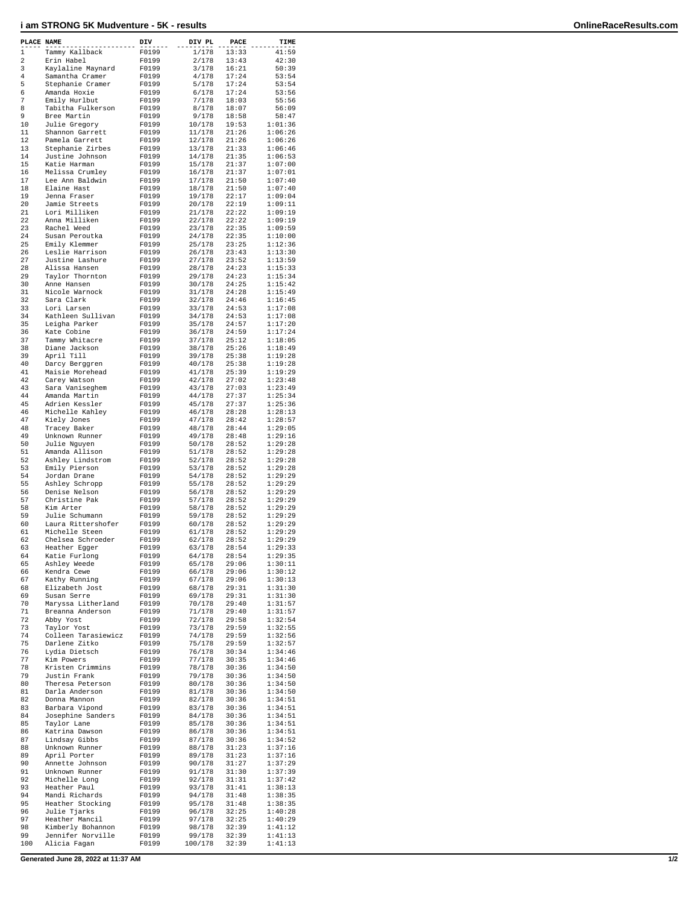## **i am STRONG 5K Mudventure - 5K - results OnlineRaceResults.com**

| PLACE NAME   |                                    | DIV   | DIV PL           | PACE           | TIME               |
|--------------|------------------------------------|-------|------------------|----------------|--------------------|
| $\mathbf{1}$ | Tammy Kallback                     | F0199 | 1/178            | 13:33          | 41:59              |
| 2            | Erin Habel                         | F0199 | 2/178            | 13:43          | 42:30              |
| 3            | Kaylaline Maynard                  | F0199 | 3/178            | 16:21          | 50:39              |
| 4            | Samantha Cramer                    | F0199 | 4/178            | 17:24          | 53:54              |
| 5            | Stephanie Cramer                   | F0199 | 5/178            | 17:24          | 53:54              |
| 6            | Amanda Hoxie                       | F0199 | 6/178            | 17:24          | 53:56              |
| 7            | Emily Hurlbut                      | F0199 | 7/178            | 18:03          | 55:56              |
| 8            | Tabitha Fulkerson                  | F0199 | 8/178            | 18:07          | 56:09              |
| 9            | Bree Martin                        | F0199 | 9/178            | 18:58          | 58:47              |
| 10           | Julie Gregory                      | F0199 | 10/178           | 19:53          | 1:01:36            |
| 11           | Shannon Garrett                    | F0199 | 11/178           | 21:26          | 1:06:26            |
| 12           | Pamela Garrett                     | F0199 | 12/178           | 21:26          | 1:06:26            |
| 13           | Stephanie Zirbes                   | F0199 | 13/178           | 21:33          | 1:06:46            |
| 14           | Justine Johnson                    | F0199 | 14/178           | 21:35          | 1:06:53            |
| 15           | Katie Harman                       | F0199 | 15/178           | 21:37          | 1:07:00            |
| 16           | Melissa Crumley                    | F0199 | 16/178           | 21:37          | 1:07:01            |
| 17           | Lee Ann Baldwin                    | F0199 | 17/178           | 21:50          | 1:07:40            |
| 18           | Elaine Hast                        | F0199 | 18/178           | 21:50          | 1:07:40            |
| 19           | Jenna Fraser                       | F0199 | 19/178           | 22:17          | 1:09:04            |
| 20           | Jamie Streets                      | F0199 | 20/178           | 22:19          | 1:09:11            |
| 21           | Lori Milliken                      | F0199 | 21/178           | 22:22          | 1:09:19            |
| 22           | Anna Milliken                      | F0199 | 22/178           | 22:22          | 1:09:19            |
| 23           | Rachel Weed                        | F0199 | 23/178           | 22:35          | 1:09:59            |
| 24           | Susan Peroutka                     | F0199 | 24/178           | 22:35          | 1:10:00            |
| 25           |                                    |       |                  |                |                    |
|              | Emily Klemmer                      | F0199 | 25/178           | 23:25          | 1:12:36            |
| 26<br>27     | Leslie Harrison<br>Justine Lashure | F0199 | 26/178<br>27/178 | 23:43<br>23:52 | 1:13:30<br>1:13:59 |
|              |                                    | F0199 |                  |                |                    |
| 28           | Alissa Hansen                      | F0199 | 28/178           | 24:23          | 1:15:33            |
| 29           | Taylor Thornton<br>Anne Hansen     | F0199 | 29/178           | 24:23          | 1:15:34            |
| 30           |                                    | F0199 | 30/178           | 24:25          | 1:15:42            |
| 31           | Nicole Warnock                     | F0199 | 31/178           | 24:28          | 1:15:49            |
| 32           | Sara Clark                         | F0199 | 32/178           | 24:46<br>24:53 | 1:16:45            |
| 33           | Lori Larsen                        | F0199 | 33/178           |                | 1:17:08            |
| 34           | Kathleen Sullivan                  | F0199 | 34/178           | 24:53          | 1:17:08            |
| 35           | Leigha Parker                      | F0199 | 35/178           | 24:57          | 1:17:20            |
| 36           | Kate Cobine                        | F0199 | 36/178           | 24:59          | 1:17:24            |
| 37           | Tammy Whitacre                     | F0199 | 37/178           | 25:12          | 1:18:05            |
| 38           | Diane Jackson                      | F0199 | 38/178           | 25:26          | 1:18:49            |
| 39           | April Till                         | F0199 | 39/178           | 25:38          | 1:19:28            |
| 40           | Darcy Berggren                     | F0199 | 40/178           | 25:38          | 1:19:28            |
| 41           | Maisie Morehead                    | F0199 | 41/178           | 25:39          | 1:19:29            |
| 42           | Carey Watson                       | F0199 | 42/178           | 27:02          | 1:23:48            |
| 43           | Sara Vaniseghem                    | F0199 | 43/178           | 27:03          | 1:23:49            |
| 44           | Amanda Martin                      | F0199 | 44/178           | 27:37          | 1:25:34            |
| 45           | Adrien Kessler                     | F0199 | 45/178           | 27:37          | 1:25:36            |
| 46           | Michelle Kahley                    | F0199 | 46/178           | 28:28          | 1:28:13            |
| 47           | Kiely Jones                        | F0199 | 47/178           | 28:42          | 1:28:57            |
| 48           | Tracey Baker                       | F0199 | 48/178           | 28:44          | 1:29:05            |
| 49           | Unknown Runner                     | F0199 | 49/178           | 28:48          | 1:29:16            |
| 50           | Julie Nguyen                       | F0199 | 50/178           | 28:52          | 1:29:28            |
| 51           | Amanda Allison                     | F0199 | 51/178           | 28:52          | 1:29:28            |
| 52           | Ashley Lindstrom                   | F0199 | 52/178           | 28:52          | 1:29:28            |
| 53           | Emily Pierson                      | F0199 | 53/178           | 28:52          | 1:29:28            |
| 54           | Jordan Drane                       | F0199 | 54/178           | 28:52          | 1:29:29            |
| 55           | Ashley Schropp                     | F0199 | 55/178           | 28:52          | 1:29:29            |
| 56           | Denise Nelson                      | F0199 | 56/178           | 28:52          | 1:29:29            |
| 57           | Christine Pak                      | F0199 | 57/178           | 28:52          | 1:29:29            |
| 58           | Kim Arter                          | F0199 | 58/178           | 28:52          | 1:29:29            |
| 59           | Julie Schumann                     | F0199 | 59/178           | 28:52          | 1:29:29            |
| 60           | Laura Rittershofer                 | F0199 | 60/178           | 28:52          | 1:29:29            |
| 61           | Michelle Steen                     | F0199 | 61/178           | 28:52          | 1:29:29            |
| 62           | Chelsea Schroeder                  | F0199 | 62/178           | 28:52          | 1:29:29            |
| 63           | Heather Egger                      | F0199 | 63/178           | 28:54          | 1:29:33            |
| 64           | Katie Furlong                      | F0199 | 64/178           | 28:54          | 1:29:35            |
| 65           | Ashley Weede                       | F0199 | 65/178           | 29:06          | 1:30:11            |
| 66           | Kendra Cewe                        | F0199 | 66/178           | 29:06          | 1:30:12            |
| 67           | Kathy Running                      | F0199 | 67/178           | 29:06          | 1:30:13            |
| 68           | Elizabeth Jost                     | F0199 | 68/178           | 29:31          | 1:31:30            |
| 69           | Susan Serre                        | F0199 | 69/178           | 29:31          | 1:31:30            |
| 70           | Maryssa Litherland                 | F0199 | 70/178           | 29:40          | 1:31:57            |
| 71           | Breanna Anderson                   | F0199 | 71/178           | 29:40          | 1:31:57            |
| 72           | Abby Yost                          | F0199 | 72/178           | 29:58          | 1:32:54            |
| 73           | Taylor Yost                        | F0199 | 73/178           | 29:59          | 1:32:55            |
| 74           | Colleen Tarasiewicz                | F0199 | 74/178           | 29:59          | 1:32:56            |
| 75           | Darlene Zitko                      | F0199 | 75/178           | 29:59          | 1:32:57            |
| 76           | Lydia Dietsch                      | F0199 | 76/178           | 30:34          | 1:34:46            |
| 77           | Kim Powers                         | F0199 | 77/178           | 30:35          | 1:34:46            |
| 78           | Kristen Crimmins                   | F0199 | 78/178           | 30:36          | 1:34:50            |
| 79           | Justin Frank                       | F0199 | 79/178           | 30:36          | 1:34:50            |
| 80           | Theresa Peterson                   | F0199 | 80/178           | 30:36          | 1:34:50            |
| 81           | Darla Anderson                     | F0199 | 81/178           | 30:36          | 1:34:50            |
| 82           | Donna Mannon                       | F0199 | 82/178           | 30:36          | 1:34:51            |
| 83           | Barbara Vipond                     | F0199 | 83/178           | 30:36          | 1:34:51            |
| 84           | Josephine Sanders                  | F0199 | 84/178           | 30:36          | 1:34:51            |
| 85           | Taylor Lane                        | F0199 | 85/178           | 30:36          | 1:34:51            |
| 86           | Katrina Dawson                     | F0199 | 86/178           | 30:36          | 1:34:51            |
| 87           | Lindsay Gibbs                      | F0199 | 87/178           | 30:36          | 1:34:52            |
| 88           | Unknown Runner                     | F0199 | 88/178           | 31:23          | 1:37:16            |
| 89           | April Porter                       | F0199 | 89/178           | 31:23          | 1:37:16            |
| 90           | Annette Johnson                    | F0199 | 90/178           | 31:27          | 1:37:29            |
| 91           | Unknown Runner                     | F0199 | 91/178           | 31:30          | 1:37:39            |
| 92           | Michelle Long                      | F0199 | 92/178           | 31:31          | 1:37:42            |
| 93           | Heather Paul                       | F0199 | 93/178           | 31:41          | 1:38:13            |
| 94           | Mandi Richards                     | F0199 | 94/178           | 31:48          | 1:38:35            |
| 95           | Heather Stocking                   | F0199 | 95/178           | 31:48          | 1:38:35            |
| 96           | Julie Tjarks                       | F0199 | 96/178           | 32:25          | 1:40:28            |
| 97           | Heather Mancil                     | F0199 | 97/178           | 32:25          | 1:40:29            |
| 98           | Kimberly Bohannon                  | F0199 | 98/178           | 32:39          | 1:41:12            |
| 99           | Jennifer Norville                  | F0199 | 99/178           | 32:39          | 1:41:13            |
| 100          | Alicia Fagan                       | F0199 | 100/178          | 32:39          | 1:41:13            |

**Generated June 28, 2022 at 11:37 AM 1/2**